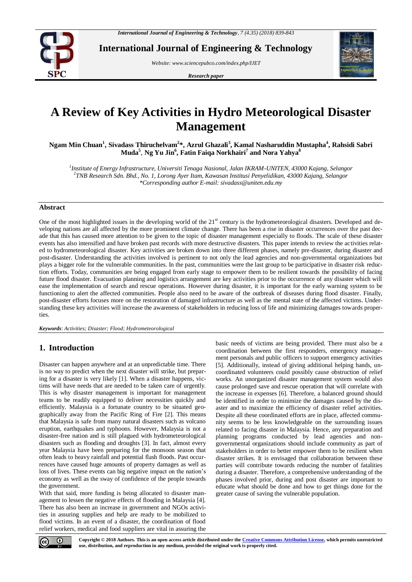

**International Journal of Engineering & Technology**

*Website: www.sciencepubco.com/index.php/IJET* 

*Research paper*



# **A Review of Key Activities in Hydro Meteorological Disaster Management**

**Ngam Min Chuan<sup>1</sup> , Sivadass Thiruchelvam<sup>2</sup> \*, Azrul Ghazali<sup>3</sup> , Kamal Nasharuddin Mustapha<sup>4</sup> , Rahsidi Sabri Muda<sup>5</sup>** , **Ng Yu Jin<sup>6</sup> , Fatin Faiqa Norkhairi<sup>7</sup> and Nora Yahya<sup>8</sup>**

*1 Institute of Energy Infrastructure, Universiti Tenaga Nasional, Jalan IKRAM-UNITEN, 43000 Kajang, Selangor 2 TNB Research Sdn. Bhd., No. 1, Lorong Ayer Itam, Kawasan Institusi Penyelidikan, 43000 Kajang, Selangor \*Corresponding author E-mail: sivadass@uniten.edu.my*

#### **Abstract**

One of the most highlighted issues in the developing world of the 21<sup>st</sup> century is the hydrometeorological disasters. Developed and developing nations are all affected by the more prominent climate change. There has been a rise in disaster occurrences over the past decade that this has caused more attention to be given to the topic of disaster management especially to floods. The scale of these disaster events has also intensified and have broken past records with more destructive disasters. This paper intends to review the activities related to hydrometeorological disaster. Key activities are broken down into three different phases, namely pre-disaster, during disaster and post-disaster. Understanding the activities involved is pertinent to not only the lead agencies and non-governmental organizations but plays a bigger role for the vulnerable communities. In the past, communities were the last group to be participative in disaster risk reduction efforts. Today, communities are being engaged from early stage to empower them to be resilient towards the possibility of facing future flood disaster. Evacuation planning and logistics arrangement are key activities prior to the occurrence of any disaster which will ease the implementation of search and rescue operations. However during disaster, it is important for the early warning system to be functioning to alert the affected communities. People also need to be aware of the outbreak of diseases during flood disaster. Finally, post-disaster efforts focuses more on the restoration of damaged infrastructure as well as the mental state of the affected victims. Understanding these key activities will increase the awareness of stakeholders in reducing loss of life and minimizing damages towards properties.

*Keywords*: *Activities; Disaster; Flood; Hydrometeorological*

# **1. Introduction**

Disaster can happen anywhere and at an unpredictable time. There is no way to predict when the next disaster will strike, but preparing for a disaster is very likely [1]. When a disaster happens, victims will have needs that are needed to be taken care of urgently. This is why disaster management is important for management teams to be readily equipped to deliver necessities quickly and efficiently. Malaysia is a fortunate country to be situated geographically away from the Pacific Ring of Fire [2]. This means that Malaysia is safe from many natural disasters such as volcano eruption, earthquakes and typhoons. However, Malaysia is not a disaster-free nation and is still plagued with hydrometeorological disasters such as flooding and droughts [3]. In fact, almost every year Malaysia have been preparing for the monsoon season that often leads to heavy rainfall and potential flash floods. Past occurrences have caused huge amounts of property damages as well as loss of lives. These events can big negative impact on the nation's economy as well as the sway of confidence of the people towards the government.

With that said, more funding is being allocated to disaster management to lessen the negative effects of flooding in Malaysia [4]. There has also been an increase in government and NGOs activities in assuring supplies and help are ready to be mobilized to flood victims. In an event of a disaster, the coordination of flood relief workers, medical and food suppliers are vital in assuring the basic needs of victims are being provided. There must also be a coordination between the first responders, emergency management personals and public officers to support emergency activities [5]. Additionally, instead of giving additional helping hands, uncoordinated volunteers could possibly cause obstruction of relief works. An unorganized disaster management system would also cause prolonged save and rescue operation that will correlate with the increase in expenses [6]. Therefore, a balanced ground should be identified in order to minimize the damages caused by the disaster and to maximize the efficiency of disaster relief activities. Despite all these coordinated efforts are in place, affected community seems to be less knowledgeable on the surrounding issues related to facing disaster in Malaysia. Hence, any preparation and planning programs conducted by lead agencies and nongovernmental organizations should include community as part of stakeholders in order to better empower them to be resilient when disaster strikes. It is envisaged that collaboration between these parties will contribute towards reducing the number of fatalities during a disaster. Therefore, a comprehensive understanding of the phases involved prior, during and post disaster are important to educate what should be done and how to get things done for the greater cause of saving the vulnerable population.



**Copyright © 2018 Authors. This is an open access article distributed under the Creative Commons Attribution License, which permits unrestricted use, distribution, and reproduction in any medium, provided the original work is properly cited.**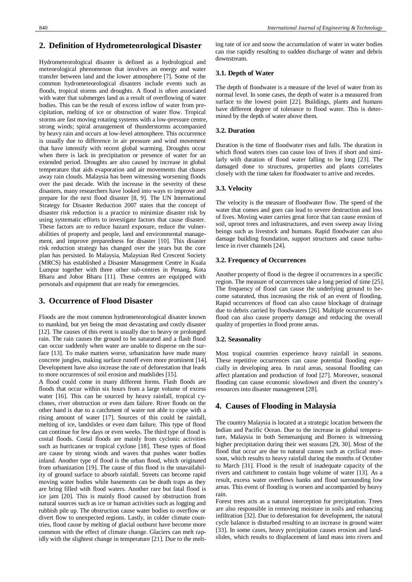# **2. Definition of Hydrometeorological Disaster**

Hydrometeorological disaster is defined as a hydrological and meteorological phenomenon that involves an energy and water transfer between land and the lower atmosphere [7]. Some of the common hydrometeorological disasters include events such as floods, tropical storms and droughts. A flood is often associated with water that submerges land as a result of overflowing of water bodies. This can be the result of excess inflow of water from precipitation, melting of ice or obstruction of water flow. Tropical storms are fast moving rotating systems with a low-pressure centre, strong winds; spiral arrangement of thunderstorms accompanied by heavy rain and occurs at low-level atmosphere. This occurrence is usually due to difference in air pressure and wind movement that have intensify with recent global warming. Droughts occur when there is lack in precipitation or presence of water for an extended period. Droughts are also caused by increase in global temperature that aids evaporation and air movements that chases away rain clouds. Malaysia has been witnessing worsening floods over the past decade. With the increase in the severity of these disasters, many researchers have looked into ways to improve and prepare for the next flood disaster [8, 9]. The UN International Strategy for Disaster Reduction 2007 states that the concept of disaster risk reduction is a practice to minimize disaster risk by using systematic efforts to investigate factors that cause disaster. These factors are to reduce hazard exposure, reduce the vulnerabilities of property and people, land and environmental management, and improve preparedness for disaster [10]. This disaster risk reduction strategy has changed over the years but the core plan has persisted. In Malaysia, Malaysian Red Crescent Society (MRCS) has established a Disaster Management Centre in Kuala Lumpur together with three other sub-centres in Penang, Kota Bharu and Johor Bharu [11]. These centres are equipped with personals and equipment that are ready for emergencies.

# **3. Occurrence of Flood Disaster**

Floods are the most common hydrometeorological disaster known to mankind, but yet being the most devastating and costly disaster [12]. The causes of this event is usually due to heavy or prolonged rain. The rain causes the ground to be saturated and a flash flood can occur suddenly when water are unable to disperse on the surface [13]. To make matters worse, urbanization have made many concrete jungles, making surface runoff even more prominent [14]. Development have also increase the rate of deforestation that leads to more occurrences of soil erosion and mudslides [15].

A flood could come in many different forms. Flash floods are floods that occur within six hours from a large volume of excess water [16]. This can be sourced by heavy rainfall, tropical cyclones, river obstruction or even dam failure. River floods on the other hand is due to a catchment of water not able to cope with a rising amount of water [17]. Sources of this could be rainfall, melting of ice, landslides or even dam failure. This type of flood can continue for few days or even weeks. The third type of flood is costal floods. Costal floods are mainly from cyclonic activities such as hurricanes or tropical cyclone [18]. These types of flood are cause by strong winds and waves that pushes water bodies inland. Another type of flood is the urban flood, which originated from urbanization [19]. The cause of this flood is the unavailability of ground surface to absorb rainfall. Streets can become rapid moving water bodies while basements can be death traps as they are bring filled with flood waters. Another rare but fatal flood is ice jam [20]. This is mainly flood caused by obstruction from natural sources such as ice or human activities such as logging and rubbish pile up. The obstruction cause water bodies to overflow or divert flow to unexpected regions. Lastly, in colder climate countries, flood cause by melting of glacial outburst have become more common with the effect of climate change. Glaciers can melt rapidly with the slightest change in temperature [21]. Due to the melting rate of ice and snow the accumulation of water in water bodies can rise rapidly resulting to sudden discharge of water and debris downstream.

#### **3.1. Depth of Water**

The depth of floodwater is a measure of the level of water from its normal level. In some cases, the depth of water is a measured from surface to the lowest point [22]. Buildings, plants and humans have different degree of tolerance to flood water. This is determined by the depth of water above them.

#### **3.2. Duration**

Duration is the time of floodwater rises and falls. The duration in which flood waters rises can cause loss of lives if short and similarly with duration of flood water falling to be long [23]. The damaged done to structures, properties and plants correlates closely with the time taken for floodwater to arrive and recedes.

#### **3.3. Velocity**

The velocity is the measure of floodwater flow. The speed of the water that comes and goes can lead to severe destruction and loss of lives. Moving water carries great force that can cause erosion of soil, uproot trees and infrastructures, and even sweep away living beings such as livestock and humans. Rapid floodwater can also damage building foundation, support structures and cause turbulence in river channels [24].

#### **3.2. Frequency of Occurrences**

Another property of flood is the degree if occurrences in a specific region. The measure of occurrences take a long period of time [25]. The frequency of flood can cause the underlying ground to become saturated, thus increasing the risk of an event of flooding. Rapid occurrences of flood can also cause blockage of drainage due to debris carried by floodwaters [26]. Multiple occurrences of flood can also cause property damage and reducing the overall quality of properties in flood prone areas.

#### **3.2. Seasonality**

Most tropical countries experience heavy rainfall in seasons. These repetitive occurrences can cause potential flooding especially in developing area. In rural areas, seasonal flooding can affect plantation and production of food [27]. Moreover, seasonal flooding can cause economic slowdown and divert the country's resources into disaster management [28].

## **4. Causes of Flooding in Malaysia**

The country Malaysia is located at a strategic location between the Indian and Pacific Ocean. Due to the increase in global temperature, Malaysia in both Semenanjung and Borneo is witnessing higher precipitation during their wet seasons [29, 30]. Most of the flood that occur are due to natural causes such as cyclical monsoon, which results to heavy rainfall during the months of October to March [31]. Flood is the result of inadequate capacity of the rivers and catchment to contain huge volume of water [13]. As a result, excess water overflows banks and flood surrounding low areas. This event of flooding is worsen and accompanied by heavy rain.

Forest trees acts as a natural interception for precipitation. Trees are also responsible in removing moisture in soils and enhancing infiltration [32]. Due to deforestation for development, the natural cycle balance is disturbed resulting to an increase in ground water [33]. In some cases, heavy precipitation causes erosion and landslides, which results to displacement of land mass into rivers and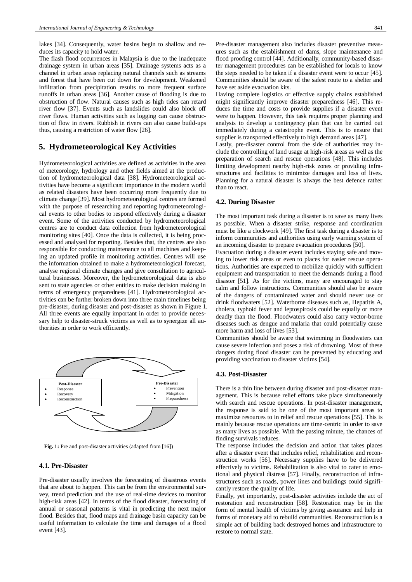lakes [34]. Consequently, water basins begin to shallow and reduces its capacity to hold water.

The flash flood occurrences in Malaysia is due to the inadequate drainage system in urban areas [35]. Drainage systems acts as a channel in urban areas replacing natural channels such as streams and forest that have been cut down for development. Weakened infiltration from precipitation results to more frequent surface runoffs in urban areas [36]. Another cause of flooding is due to obstruction of flow. Natural causes such as high tides can retard river flow [37]. Events such as landslides could also block off river flows. Human activities such as logging can cause obstruction of flow in rivers. Rubbish in rivers can also cause build-ups thus, causing a restriction of water flow [26].

# **5. Hydrometeorological Key Activities**

Hydrometeorological activities are defined as activities in the area of meteorology, hydrology and other fields aimed at the production of hydrometeorological data [38]. Hydrometeorological activities have become a significant importance in the modern world as related disasters have been occurring more frequently due to climate change [39]. Most hydrometeorological centres are formed with the purpose of researching and reporting hydrometeorological events to other bodies to respond effectively during a disaster event. Some of the activities conducted by hydrometeorological centres are to conduct data collection from hydrometeorological monitoring sites [40]. Once the data is collected, it is being processed and analysed for reporting. Besides that, the centres are also responsible for conducting maintenance to all machines and keeping an updated profile in monitoring activities. Centres will use the information obtained to make a hydrometeorological forecast, analyse regional climate changes and give consultation to agricultural businesses. Moreover, the hydrometeorological data is also sent to state agencies or other entities to make decision making in terms of emergency preparedness [41]. Hydrometeorological activities can be further broken down into three main timelines being pre-disaster, during disaster and post-disaster as shown in Figure 1. All three events are equally important in order to provide necessary help to disaster-struck victims as well as to synergize all authorities in order to work efficiently.



**Fig. 1:** Pre and post-disaster activities (adapted from [16])

#### **4.1. Pre-Disaster**

Pre-disaster usually involves the forecasting of disastrous events that are about to happen. This can be from the environmental survey, trend prediction and the use of real-time devices to monitor high-risk areas [42]. In terms of the flood disaster, forecasting of annual or seasonal patterns is vital in predicting the next major flood. Besides that, flood maps and drainage basin capacity can be useful information to calculate the time and damages of a flood event [43].

Pre-disaster management also includes disaster preventive measures such as the establishment of dams, slope maintenance and flood proofing control [44]. Additionally, community-based disaster management procedures can be established for locals to know the steps needed to be taken if a disaster event were to occur [45]. Communities should be aware of the safest route to a shelter and have set aside evacuation kits.

Having complete logistics or effective supply chains established might significantly improve disaster preparedness [46]. This reduces the time and costs to provide supplies if a disaster event were to happen. However, this task requires proper planning and analysis to develop a contingency plan that can be carried out immediately during a catastrophe event. This is to ensure that supplier is transported effectively to high demand areas [47].

Lastly, pre-disaster control from the side of authorities may include the controlling of land usage at high-risk areas as well as the preparation of search and rescue operations [48]. This includes limiting development nearby high-risk zones or providing infrastructures and facilities to minimize damages and loss of lives. Planning for a natural disaster is always the best defence rather than to react.

#### **4.2. During Disaster**

The most important task during a disaster is to save as many lives as possible. When a disaster strike, response and coordination must be like a clockwork [49]. The first task during a disaster is to inform communities and authorities using early warning system of an incoming disaster to prepare evacuation procedures [50].

Evacuation during a disaster event includes staying safe and moving to lower risk areas or even to places for easier rescue operations. Authorities are expected to mobilize quickly with sufficient equipment and transportation to meet the demands during a flood disaster [51]. As for the victims, many are encouraged to stay calm and follow instructions. Communities should also be aware of the dangers of contaminated water and should never use or drink floodwaters [52]. Waterborne diseases such as, Hepatitis A, cholera, typhoid fever and leptospirosis could be equally or more deadly than the flood. Floodwaters could also carry vector-borne diseases such as dengue and malaria that could potentially cause more harm and loss of lives [53].

Communities should be aware that swimming in floodwaters can cause severe infection and poses a risk of drowning. Most of these dangers during flood disaster can be prevented by educating and providing vaccination to disaster victims [54].

#### **4.3. Post-Disaster**

There is a thin line between during disaster and post-disaster management. This is because relief efforts take place simultaneously with search and rescue operations. In post-disaster management, the response is said to be one of the most important areas to maximize resources to in relief and rescue operations [55]. This is mainly because rescue operations are time-centric in order to save as many lives as possible. With the passing minute, the chances of finding survivals reduces.

The response includes the decision and action that takes places after a disaster event that includes relief, rehabilitation and reconstruction works [56]. Necessary supplies have to be delivered effectively to victims. Rehabilitation is also vital to cater to emotional and physical distress [57]. Finally, reconstruction of infrastructures such as roads, power lines and buildings could significantly restore the quality of life.

Finally, yet importantly, post-disaster activities include the act of restoration and reconstruction [58]. Restoration may be in the form of mental health of victims by giving assurance and help in forms of monetary aid to rebuild communities. Reconstruction is a simple act of building back destroyed homes and infrastructure to restore to normal state.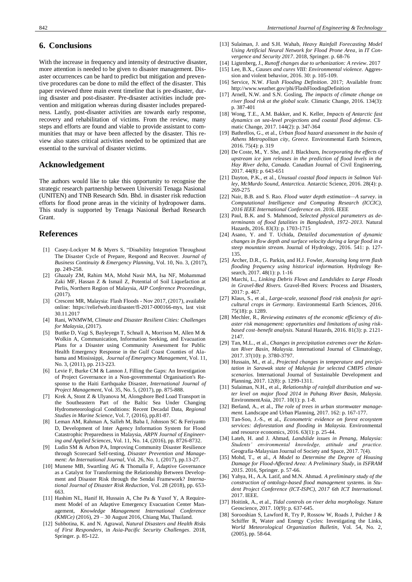#### **6. Conclusions**

With the increase in frequency and intensity of destructive disaster, more attention is needed to be given to disaster management. Disaster occurrences can be hard to predict but mitigation and preventive procedures can be done to mild the effect of the disaster. This paper reviewed three main event timeline that is pre-disaster, during disaster and post-disaster. Pre-disaster activities include prevention and mitigation whereas during disaster includes preparedness. Lastly, post-disaster activities are towards early response, recovery and rehabilitation of victims. From the review, many steps and efforts are found and viable to provide assistant to communities that may or have been affected by the disaster. This review also states critical activities needed to be optimized that are essential to the survival of disaster victims.

# **Acknowledgement**

The authors would like to take this opportunity to recognise the strategic research partnership between Universiti Tenaga Nasional (UNITEN) and TNB Research Sdn. Bhd. in disaster risk reduction efforts for flood prone areas in the vicinity of hydropower dams. This study is supported by Tenaga Nasional Berhad Research Grant.

#### **References**

- [1] Casey-Lockyer M & Myers S, "Disability Integration Throughout The Disaster Cycle of Prepare, Respond and Recover. *Journal of Business Continuity & Emergency Planning*, Vol. 10, No. 3, (2017), pp. 249-258.
- [2] Ghazaly ZM, Rahim MA, Mohd Nasir MA, Isa NF, Mohammad Zaki MF, Hassan Z & Ismail Z, Potential of Soil Liquefaction at Perlis, Northern Region of Malaysia, *AIP Conference Proceedings*, (2017).
- [3] Crescent MR, Malaysia: Flash Floods Nov 2017, (2017), available online: [https://reliefweb.int/disaster/fl-2017-000166-mys,](https://reliefweb.int/disaster/fl-2017-000166-mys) last visit 30.11.2017
- [4] Rani, WNMWM, *Climate and Disaster Resilient Cities: Challenges for Malaysia*, (2017).
- [5] Buttke D, Vagi S, Bayleyegn T, Schnall A, Morrison M, Allen M & Wolkin A, Communication, Information Seeking, and Evacuation Plans for a Disaster using Community Assessment for Public Health Emergency Response in the Gulf Coast Counties of Alabama and Mississippi, *Journal of Emergency Management*, Vol. 11, No. 3, (2011), pp. 213-223.
- [6] Levie F, Burke CM & Lannon J, Filling the Gaps: An Investigation of Project Governance in a Non-governmental Organisation's Response to the Haiti Earthquake Disaster, *International Journal of Project Management*, Vol. 35, No. 5, (2017), pp. 875-888.
- [7] Krek A, Stont Z & Ulyanova M, Alongshore Bed Load Transport in the Southeastern Part of the Baltic Sea Under Changing Hydrometeorological Conditions: Recent Decadal Data, *Regional Studies in Marine Science*, Vol. 7, (2016), pp.81-87.
- [8] Leman AM, Rahman A, Salleh M, Baba I, Johnson SC & Feriyanto D, Development of Inter Agency Information System for Flood Catastrophic Preparedness in Malaysia, *ARPN Journal of Engineering and Applied Sciences*, Vol. 11, No. 14, (2016), pp. 8726-8732.
- [9] Ludin SM & Arbon PA, Improving Community Disaster Resilience through Scorecard Self-testing, *Disaster Prevention and Management: An International Journal*, Vol. 26, No. 1, (2017), pp.13-27.
- [10] Munene MB, Swartling AG & Thomalla F, Adaptive Governance as a Catalyst for Transforming the Relationship Between Development and Disaster Risk through the Sendai Framework? *International Journal of Disaster Risk Reduction*, Vol. 28 (2018), pp. 653- 663.
- [11] Hashim NL, Hanif H, Hussain A, Che Pa & Yusof Y, A Requirement Model of an Adaptive Emergency Evacuation Center Management, *Knowledge Management International Conference (KMICe)* (2016), 29 – 30 August 2016, Chiang Mai, Thailand.
- [12] Subbotina, K. and N. Agrawal, *Natural Disasters and Health Risks of First Responders*, in *Asia-Pacific Security Challenges*. 2018, Springer. p. 85-122.
- [13] Sulaiman, J. and S.H. Wahab, *Heavy Rainfall Forecasting Model Using Artificial Neural Network for Flood Prone Area*, in *IT Convergence and Security 2017*. 2018, Springer. p. 68-76
- [14] Ligtenberg, J., *Runoff changes due to urbanization: A review*. 2017
- [15] Lee, B.X., *Causes and cures VIII: Environmental violence.* Aggression and violent behavior, 2016. 30: p. 105-109.
- [16] Service, N.W. *Flash Flooding Definition*. 2017; Available from: <http://www.weather.gov/phi/FlashFloodingDefinition>
- [17] Arnell, N.W. and S.N. Gosling, *The impacts of climate change on river flood risk at the global scale.* Climatic Change, 2016. 134(3): p. 387-401
- [18] Wong, T.E., A.M. Bakker, and K. Keller, *Impacts of Antarctic fast dynamics on sea-level projections and coastal flood defense.* Climatic Change, 2017. 144(2): p. 347-364
- [19] Bathrellos, G., et al., *Urban flood hazard assessment in the basin of Athens Metropolitan city, Greece.* Environmental Earth Sciences, 2016. 75(4): p. 319
- [20] De Coste, M., Y. She, and J. Blackburn, *Incorporating the effects of upstream ice jam releases in the prediction of flood levels in the Hay River delta, Canada.* Canadian Journal of Civil Engineering, 2017. 44(8): p. 643-651
- [21] Dayton, P.K., et al., *Unusual coastal flood impacts in Salmon Valley, McMurdo Sound, Antarctica.* Antarctic Science, 2016. 28(4): p. 269-275
- [22] Nair, B.B. and S. Rao. *Flood water depth estimation—A survey*. in *Computational Intelligence and Computing Research (ICCIC), 2016 IEEE International Conference on*. 2016. IEEE
- [23] Paul, B.K. and S. Mahmood, *Selected physical parameters as determinants of flood fatalities in Bangladesh, 1972–2013.* Natural Hazards, 2016. 83(3): p. 1703-1715
- [24] Asano, Y. and T. Uchida, *Detailed documentation of dynamic changes in flow depth and surface velocity during a large flood in a steep mountain stream.* Journal of Hydrology, 2016. 541: p. 127- 135.
- [25] Archer, D.R., G. Parkin, and H.J. Fowler, *Assessing long term flash flooding frequency using historical information.* Hydrology Research, 2017. 48(1): p. 1-16
- [26] Marchi, L., *Linking Debris Flows and Landslides to Large Floods in Gravel-Bed Rivers.* Gravel-Bed Rivers: Process and Disasters, 2017: p. 467.
- [27] Klaus, S., et al., *Large-scale, seasonal flood risk analysis for agricultural crops in Germany.* Environmental Earth Sciences, 2016. 75(18): p. 1289.
- [28] Mechler, R., *Reviewing estimates of the economic efficiency of disaster risk management: opportunities and limitations of using riskbased cost–benefit analysis.* Natural Hazards, 2016. 81(3): p. 2121- 2147.
- [29] Tan, M.L., et al., *Changes in precipitation extremes over the Kelantan River Basin, Malaysia.* International Journal of Climatology, 2017. 37(10): p. 3780-3797.
- [30] Hussain, M., et al., *Projected changes in temperature and precipitation in Sarawak state of Malaysia for selected CMIP5 climate scenarios.* International Journal of Sustainable Development and Planning, 2017. 12(8): p. 1299-1311.
- [31] Sulaiman, N.H., et al., *Relationship of rainfall distribution and water level on major flood 2014 in Pahang River Basin, Malaysia.* EnvironmentAsia, 2017. 10(1): p. 1-8.
- [32] Berland, A., et al., *The role of trees in urban stormwater management.* Landscape and Urban Planning, 2017. 162: p. 167-177.
- [33] Tan-Soo, J.-S., et al., *Econometric evidence on forest ecosystem services: deforestation and flooding in Malaysia.* Environmental and resource economics, 2016. 63(1): p. 25-44.
- [34] Lateh, H. and J. Ahmad, *Landslide issues in Penang, Malaysia: Students' environmental knowledge, attitude and practice.* Geografia-Malaysian Journal of Society and Space, 2017. 7(4).
- [35] Mohd, T., et al., *A Model to Determine the Degree of Housing Damage for Flood-Affected Area: A Preliminary Study*, in *ISFRAM 2015*. 2016, Springer. p. 57-66.
- [36] Yahya, H., A.A. Latif, and M.N. Ahmad. *A preliminary study of the construction of ontology-based flood management systems*. in *Student Project Conference (ICT-ISPC), 2017 6th ICT International*. 2017. IEEE.
- [37] Hoitink, A., et al., *Tidal controls on river delta morphology.* Nature Geoscience, 2017. 10(9): p. 637-645.
- [38] Sorooshian S, Lawford R, Try P, Rossow W, Roads J, Polcher J & Schiffer R, Water and Energy Cycles: Investigating the Links, *World Meteorological Organization Bulletin*, Vol. 54, No. 2, (2005), pp. 58-64.